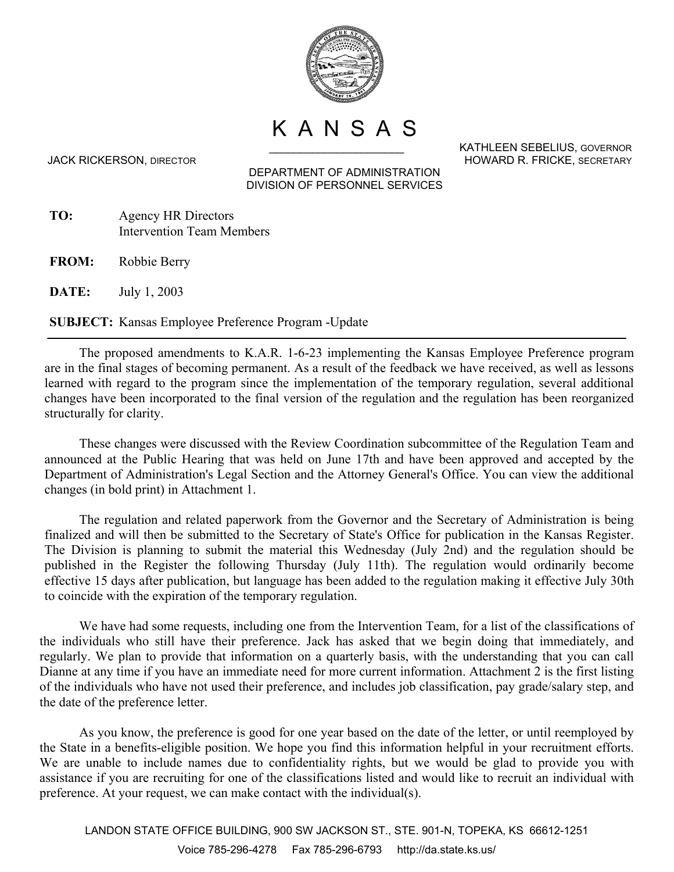

KANSAS

DEPARTMENT OF ADMINISTRATION DIVISION OF PERSONNEL SERVICES

- **TO:** Agency HR Directors Intervention Team Members
- **FROM:** Robbie Berry

**DATE:** July 1, 2003

**SUBJECT:** Kansas Employee Preference Program -Update

The proposed amendments to K.A.R. 1-6-23 implementing the Kansas Employee Preference program are in the final stages of becoming permanent. As a result of the feedback we have received, as well as lessons learned with regard to the program since the implementation of the temporary regulation, several additional changes have been incorporated to the final version of the regulation and the regulation has been reorganized structurally for clarity.

These changes were discussed with the Review Coordination subcommittee of the Regulation Team and announced at the Public Hearing that was held on June 17th and have been approved and accepted by the Department of Administration's Legal Section and the Attorney General's Office. You can view the additional changes (in bold print) in Attachment 1.

The regulation and related paperwork from the Governor and the Secretary of Administration is being finalized and will then be submitted to the Secretary of State's Office for publication in the Kansas Register. The Division is planning to submit the material this Wednesday (July 2nd) and the regulation should be published in the Register the following Thursday (July 11th). The regulation would ordinarily become effective 15 days after publication, but language has been added to the regulation making it effective July 30th to coincide with the expiration of the temporary regulation.

We have had some requests, including one from the Intervention Team, for a list of the classifications of the individuals who still have their preference. Jack has asked that we begin doing that immediately, and regularly. We plan to provide that information on a quarterly basis, with the understanding that you can call Dianne at any time if you have an immediate need for more current information. Attachment 2 is the first listing of the individuals who have not used their preference, and includes job classification, pay grade/salary step, and the date of the preference letter.

As you know, the preference is good for one year based on the date of the letter, or until reemployed by the State in a benefits-eligible position. We hope you find this information helpful in your recruitment efforts. We are unable to include names due to confidentiality rights, but we would be glad to provide you with assistance if you are recruiting for one of the classifications listed and would like to recruit an individual with preference. At your request, we can make contact with the individual(s).

LANDON STATE OFFICE BUILDING, 900 SW JACKSON ST., STE. 901-N, TOPEKA, KS 66612-1251 Voice 785-296-4278 Fax 785-296-6793 http://da.state.ks.us/

KATHLEEN SEBELIUS, GOVERNOR JACK RICKERSON, DIRECTOR HOWARD R. FRICKE, SECRETARY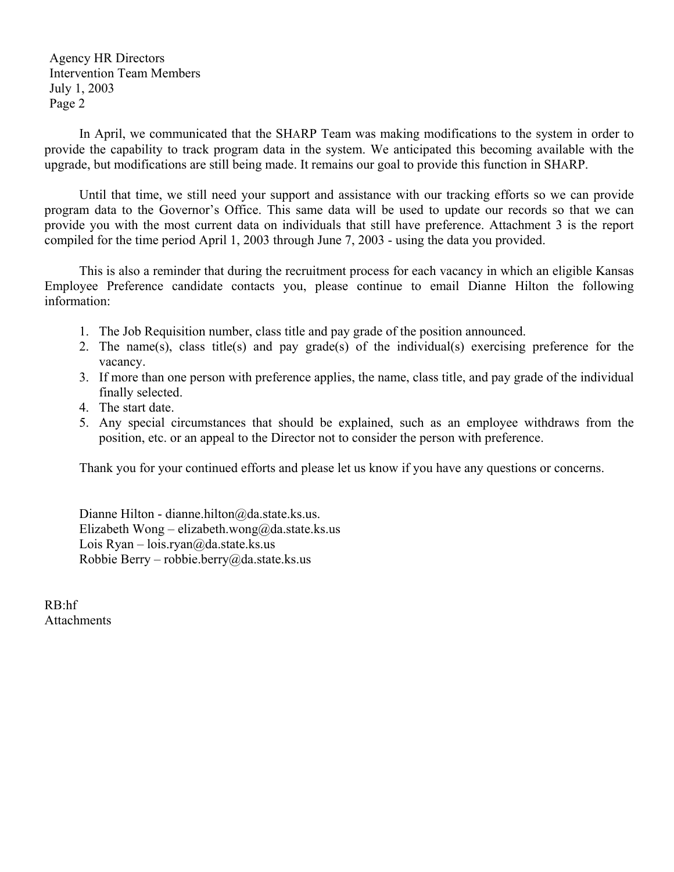Agency HR Directors Intervention Team Members July 1, 2003 Page 2

In April, we communicated that the SHARP Team was making modifications to the system in order to provide the capability to track program data in the system. We anticipated this becoming available with the upgrade, but modifications are still being made. It remains our goal to provide this function in SHARP.

Until that time, we still need your support and assistance with our tracking efforts so we can provide program data to the Governor's Office. This same data will be used to update our records so that we can provide you with the most current data on individuals that still have preference. Attachment 3 is the report compiled for the time period April 1, 2003 through June 7, 2003 - using the data you provided.

This is also a reminder that during the recruitment process for each vacancy in which an eligible Kansas Employee Preference candidate contacts you, please continue to email Dianne Hilton the following information:

- 1. The Job Requisition number, class title and pay grade of the position announced.
- 2. The name(s), class title(s) and pay grade(s) of the individual(s) exercising preference for the vacancy.
- 3. If more than one person with preference applies, the name, class title, and pay grade of the individual finally selected.
- 4. The start date.
- 5. Any special circumstances that should be explained, such as an employee withdraws from the position, etc. or an appeal to the Director not to consider the person with preference.

Thank you for your continued efforts and please let us know if you have any questions or concerns.

Dianne Hilton - dianne.hilton@da.state.ks.us. Elizabeth Wong – elizabeth.wong@da.state.ks.us Lois Ryan – lois.ryan@da.state.ks.us Robbie Berry – robbie.berry@da.state.ks.us

RB:hf **Attachments**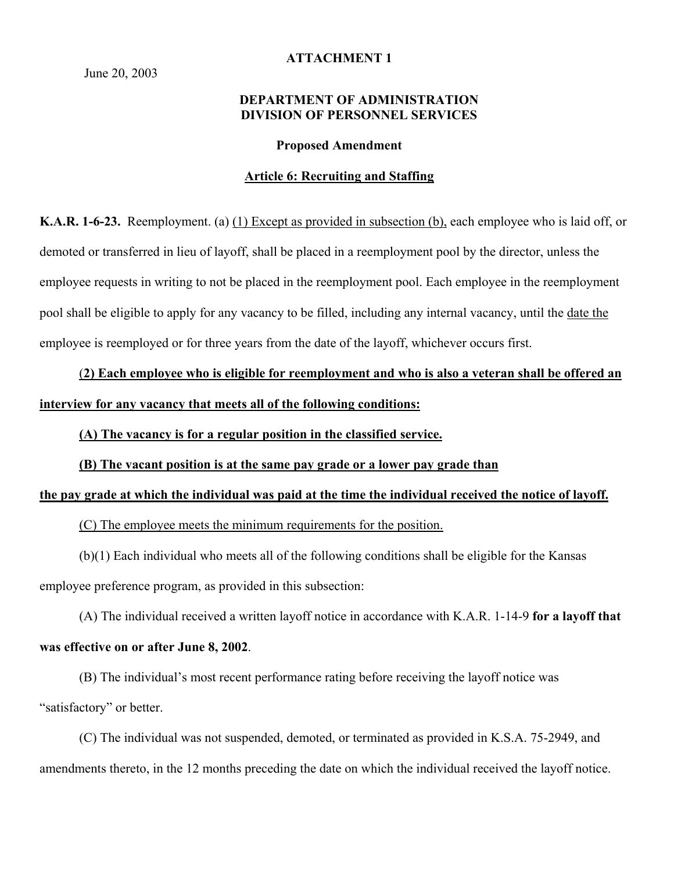June 20, 2003

### **ATTACHMENT 1**

# **DEPARTMENT OF ADMINISTRATION DIVISION OF PERSONNEL SERVICES**

#### **Proposed Amendment**

## **Article 6: Recruiting and Staffing**

**K.A.R. 1-6-23.** Reemployment. (a) (1) Except as provided in subsection (b), each employee who is laid off, or demoted or transferred in lieu of layoff, shall be placed in a reemployment pool by the director, unless the employee requests in writing to not be placed in the reemployment pool. Each employee in the reemployment pool shall be eligible to apply for any vacancy to be filled, including any internal vacancy, until the date the employee is reemployed or for three years from the date of the layoff, whichever occurs first.

(**2) Each employee who is eligible for reemployment and who is also a veteran shall be offered an interview for any vacancy that meets all of the following conditions:** 

**(A) The vacancy is for a regular position in the classified service.** 

**(B) The vacant position is at the same pay grade or a lower pay grade than** 

#### **the pay grade at which the individual was paid at the time the individual received the notice of layoff.**

(C) The employee meets the minimum requirements for the position.

(b)(1) Each individual who meets all of the following conditions shall be eligible for the Kansas employee preference program, as provided in this subsection:

(A) The individual received a written layoff notice in accordance with K.A.R. 1-14-9 **for a layoff that** 

## **was effective on or after June 8, 2002**.

(B) The individual's most recent performance rating before receiving the layoff notice was "satisfactory" or better.

(C) The individual was not suspended, demoted, or terminated as provided in K.S.A. 75-2949, and amendments thereto, in the 12 months preceding the date on which the individual received the layoff notice.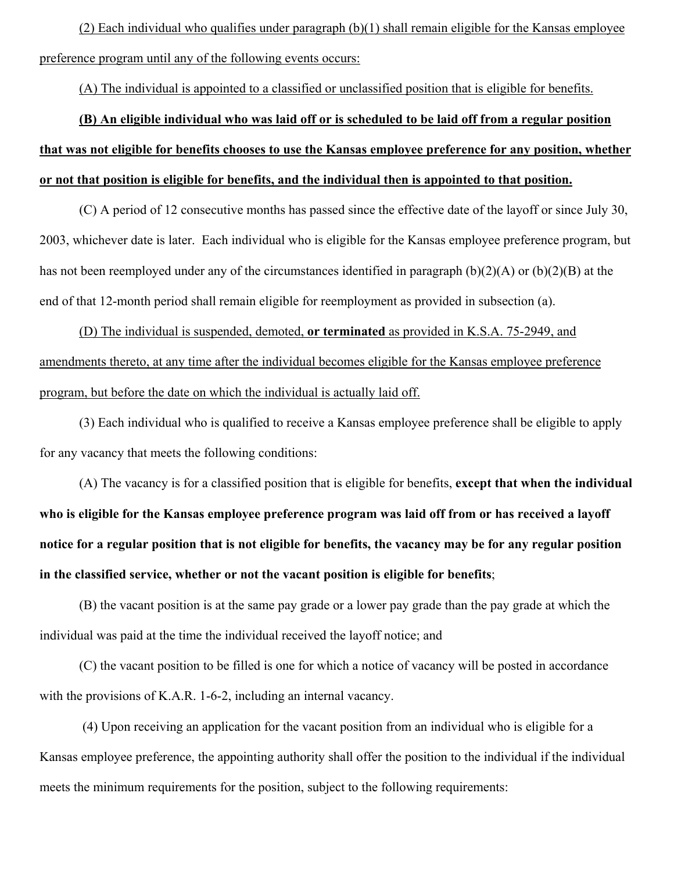(2) Each individual who qualifies under paragraph (b)(1) shall remain eligible for the Kansas employee preference program until any of the following events occurs:

(A) The individual is appointed to a classified or unclassified position that is eligible for benefits.

# **(B) An eligible individual who was laid off or is scheduled to be laid off from a regular position that was not eligible for benefits chooses to use the Kansas employee preference for any position, whether or not that position is eligible for benefits, and the individual then is appointed to that position.**

(C) A period of 12 consecutive months has passed since the effective date of the layoff or since July 30, 2003, whichever date is later. Each individual who is eligible for the Kansas employee preference program, but has not been reemployed under any of the circumstances identified in paragraph (b)(2)(A) or (b)(2)(B) at the end of that 12-month period shall remain eligible for reemployment as provided in subsection (a).

(D) The individual is suspended, demoted, **or terminated** as provided in K.S.A. 75-2949, and amendments thereto, at any time after the individual becomes eligible for the Kansas employee preference program, but before the date on which the individual is actually laid off.

(3) Each individual who is qualified to receive a Kansas employee preference shall be eligible to apply for any vacancy that meets the following conditions:

(A) The vacancy is for a classified position that is eligible for benefits, **except that when the individual who is eligible for the Kansas employee preference program was laid off from or has received a layoff notice for a regular position that is not eligible for benefits, the vacancy may be for any regular position in the classified service, whether or not the vacant position is eligible for benefits**;

(B) the vacant position is at the same pay grade or a lower pay grade than the pay grade at which the individual was paid at the time the individual received the layoff notice; and

(C) the vacant position to be filled is one for which a notice of vacancy will be posted in accordance with the provisions of K.A.R. 1-6-2, including an internal vacancy.

(4) Upon receiving an application for the vacant position from an individual who is eligible for a Kansas employee preference, the appointing authority shall offer the position to the individual if the individual meets the minimum requirements for the position, subject to the following requirements: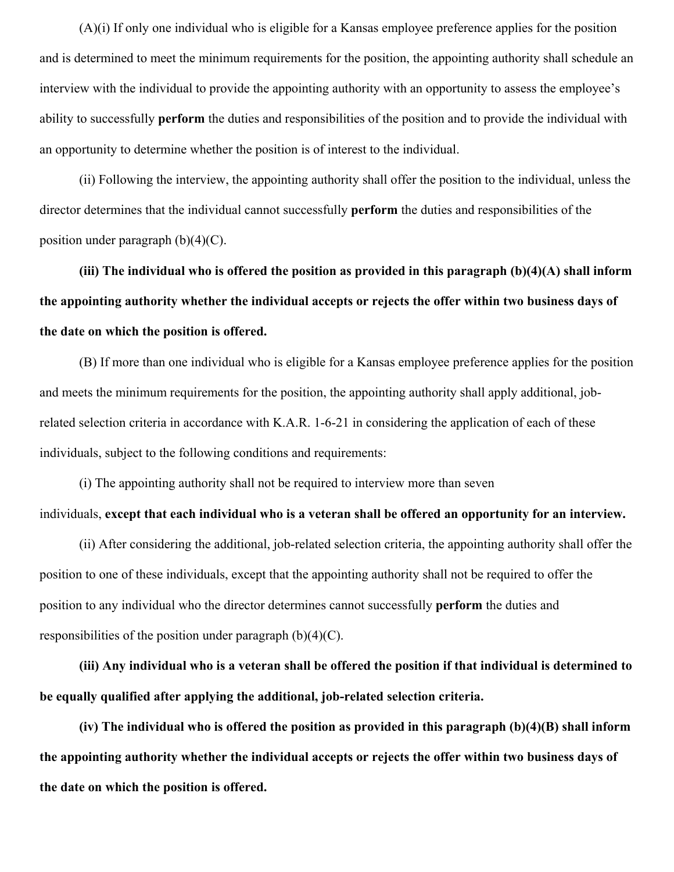(A)(i) If only one individual who is eligible for a Kansas employee preference applies for the position and is determined to meet the minimum requirements for the position, the appointing authority shall schedule an interview with the individual to provide the appointing authority with an opportunity to assess the employee's ability to successfully **perform** the duties and responsibilities of the position and to provide the individual with an opportunity to determine whether the position is of interest to the individual.

(ii) Following the interview, the appointing authority shall offer the position to the individual, unless the director determines that the individual cannot successfully **perform** the duties and responsibilities of the position under paragraph  $(b)(4)(C)$ .

**(iii) The individual who is offered the position as provided in this paragraph (b)(4)(A) shall inform the appointing authority whether the individual accepts or rejects the offer within two business days of the date on which the position is offered.** 

(B) If more than one individual who is eligible for a Kansas employee preference applies for the position and meets the minimum requirements for the position, the appointing authority shall apply additional, jobrelated selection criteria in accordance with K.A.R. 1-6-21 in considering the application of each of these individuals, subject to the following conditions and requirements:

(i) The appointing authority shall not be required to interview more than seven individuals, **except that each individual who is a veteran shall be offered an opportunity for an interview.** 

(ii) After considering the additional, job-related selection criteria, the appointing authority shall offer the position to one of these individuals, except that the appointing authority shall not be required to offer the position to any individual who the director determines cannot successfully **perform** the duties and responsibilities of the position under paragraph  $(b)(4)(C)$ .

**(iii) Any individual who is a veteran shall be offered the position if that individual is determined to be equally qualified after applying the additional, job-related selection criteria.** 

**(iv) The individual who is offered the position as provided in this paragraph (b)(4)(B) shall inform the appointing authority whether the individual accepts or rejects the offer within two business days of the date on which the position is offered.**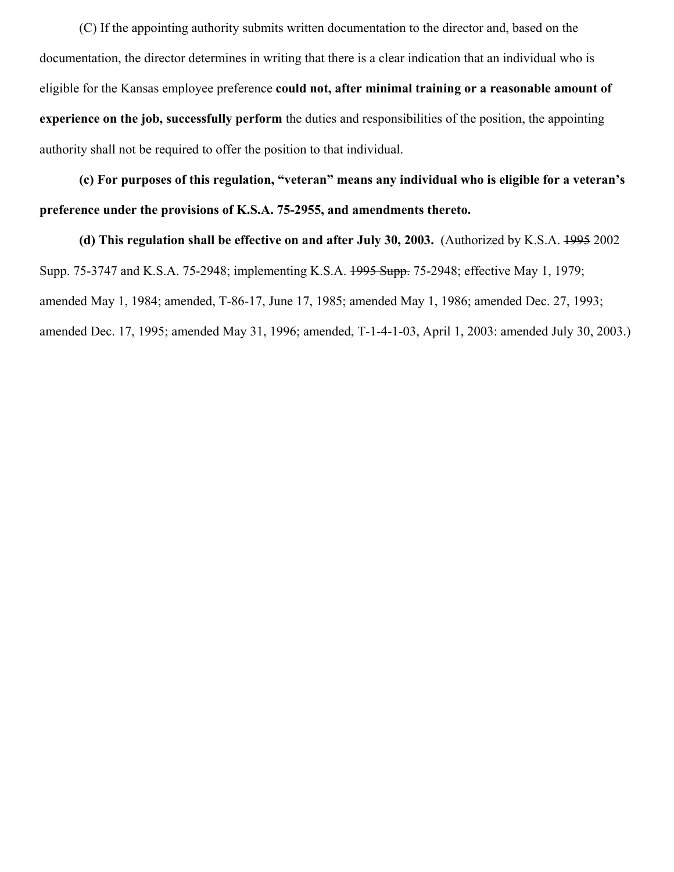(C) If the appointing authority submits written documentation to the director and, based on the documentation, the director determines in writing that there is a clear indication that an individual who is eligible for the Kansas employee preference **could not, after minimal training or a reasonable amount of experience on the job, successfully perform** the duties and responsibilities of the position, the appointing authority shall not be required to offer the position to that individual.

**(c) For purposes of this regulation, "veteran" means any individual who is eligible for a veteran's preference under the provisions of K.S.A. 75-2955, and amendments thereto.** 

**(d) This regulation shall be effective on and after July 30, 2003.** (Authorized by K.S.A. 1995 2002 Supp. 75-3747 and K.S.A. 75-2948; implementing K.S.A. <del>1995 Supp.</del> 75-2948; effective May 1, 1979; amended May 1, 1984; amended, T-86-17, June 17, 1985; amended May 1, 1986; amended Dec. 27, 1993; amended Dec. 17, 1995; amended May 31, 1996; amended, T-1-4-1-03, April 1, 2003: amended July 30, 2003.)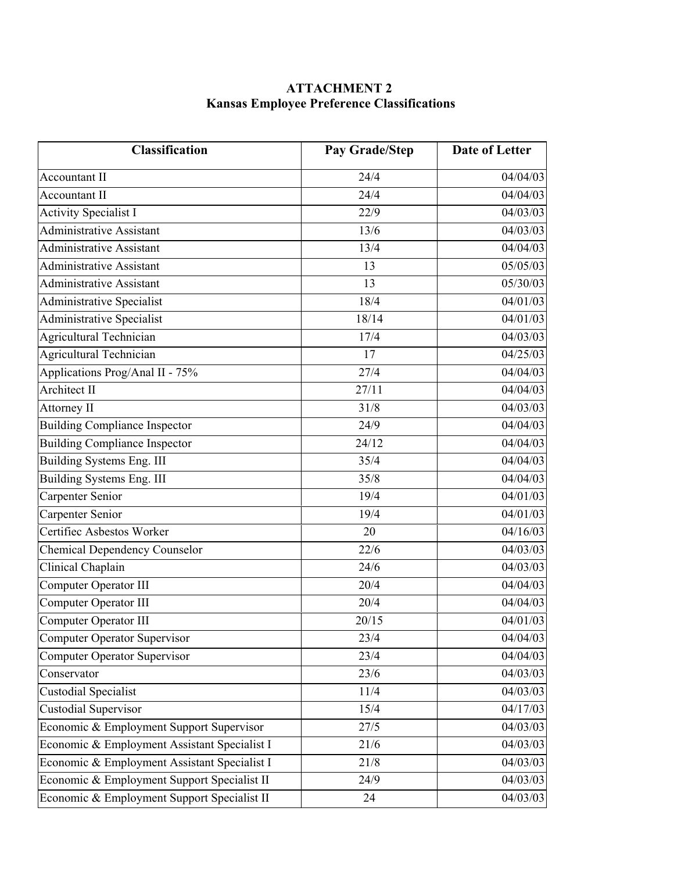# **ATTACHMENT 2 Kansas Employee Preference Classifications**

| <b>Classification</b>                        | <b>Pay Grade/Step</b> | <b>Date of Letter</b> |
|----------------------------------------------|-----------------------|-----------------------|
| <b>Accountant II</b>                         | 24/4                  | 04/04/03              |
| <b>Accountant II</b>                         | 24/4                  | 04/04/03              |
| <b>Activity Specialist I</b>                 | 22/9                  | 04/03/03              |
| Administrative Assistant                     | 13/6                  | 04/03/03              |
| Administrative Assistant                     | 13/4                  | 04/04/03              |
| <b>Administrative Assistant</b>              | 13                    | 05/05/03              |
| <b>Administrative Assistant</b>              | 13                    | 05/30/03              |
| Administrative Specialist                    | 18/4                  | 04/01/03              |
| <b>Administrative Specialist</b>             | 18/14                 | 04/01/03              |
| Agricultural Technician                      | 17/4                  | 04/03/03              |
| Agricultural Technician                      | 17                    | 04/25/03              |
| Applications Prog/Anal II - 75%              | 27/4                  | 04/04/03              |
| <b>Architect II</b>                          | 27/11                 | 04/04/03              |
| Attorney II                                  | 31/8                  | 04/03/03              |
| <b>Building Compliance Inspector</b>         | 24/9                  | 04/04/03              |
| <b>Building Compliance Inspector</b>         | 24/12                 | 04/04/03              |
| Building Systems Eng. III                    | 35/4                  | 04/04/03              |
| Building Systems Eng. III                    | 35/8                  | 04/04/03              |
| Carpenter Senior                             | 19/4                  | 04/01/03              |
| Carpenter Senior                             | 19/4                  | 04/01/03              |
| Certifiec Asbestos Worker                    | 20                    | $04/16/\overline{03}$ |
| <b>Chemical Dependency Counselor</b>         | 22/6                  | 04/03/03              |
| Clinical Chaplain                            | 24/6                  | 04/03/03              |
| Computer Operator III                        | 20/4                  | 04/04/03              |
| Computer Operator III                        | 20/4                  | 04/04/03              |
| Computer Operator III                        | 20/15                 | 04/01/03              |
| <b>Computer Operator Supervisor</b>          | 23/4                  | 04/04/03              |
| <b>Computer Operator Supervisor</b>          | 23/4                  | 04/04/03              |
| Conservator                                  | 23/6                  | 04/03/03              |
| <b>Custodial Specialist</b>                  | 11/4                  | 04/03/03              |
| <b>Custodial Supervisor</b>                  | 15/4                  | 04/17/03              |
| Economic & Employment Support Supervisor     | 27/5                  | 04/03/03              |
| Economic & Employment Assistant Specialist I | 21/6                  | 04/03/03              |
| Economic & Employment Assistant Specialist I | 21/8                  | 04/03/03              |
| Economic & Employment Support Specialist II  | 24/9                  | 04/03/03              |
| Economic & Employment Support Specialist II  | 24                    | 04/03/03              |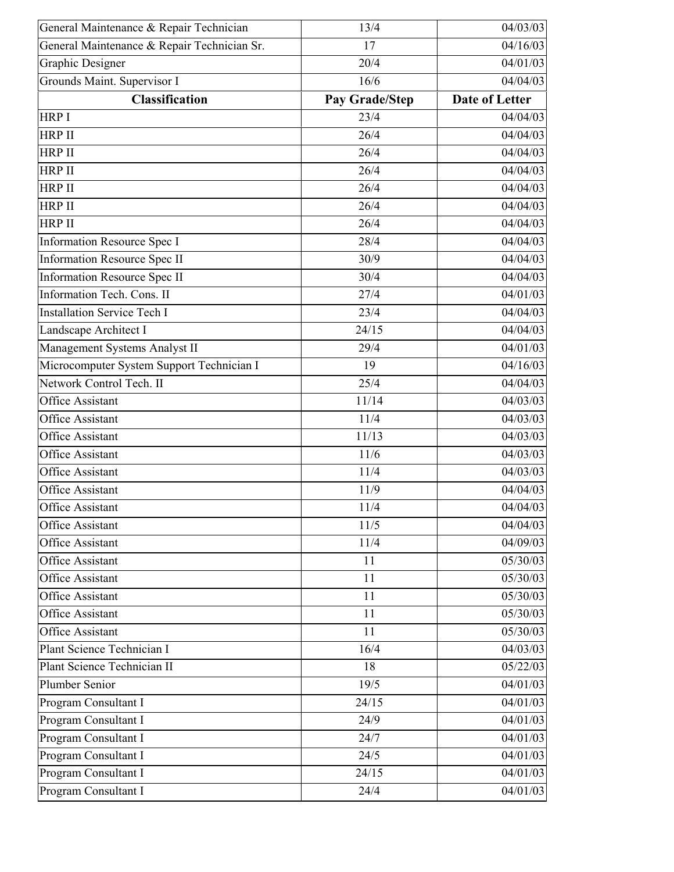| General Maintenance & Repair Technician     | 13/4           | 04/03/03              |
|---------------------------------------------|----------------|-----------------------|
| General Maintenance & Repair Technician Sr. | 17             | 04/16/03              |
| Graphic Designer                            | 20/4           | 04/01/03              |
| Grounds Maint. Supervisor I                 | 16/6           | 04/04/03              |
| <b>Classification</b>                       | Pay Grade/Step | <b>Date of Letter</b> |
| HRP I                                       | 23/4           | 04/04/03              |
| <b>HRP II</b>                               | 26/4           | 04/04/03              |
| <b>HRP II</b>                               | 26/4           | 04/04/03              |
| HRP II                                      | 26/4           | 04/04/03              |
| <b>HRP II</b>                               | 26/4           | 04/04/03              |
| HRP II                                      | 26/4           | 04/04/03              |
| <b>HRP II</b>                               | 26/4           | 04/04/03              |
| <b>Information Resource Spec I</b>          | 28/4           | 04/04/03              |
| <b>Information Resource Spec II</b>         | 30/9           | 04/04/03              |
| <b>Information Resource Spec II</b>         | 30/4           | 04/04/03              |
| Information Tech. Cons. II                  | 27/4           | 04/01/03              |
| <b>Installation Service Tech I</b>          | 23/4           | 04/04/03              |
| Landscape Architect I                       | 24/15          | 04/04/03              |
| Management Systems Analyst II               | 29/4           | 04/01/03              |
| Microcomputer System Support Technician I   | 19             | 04/16/03              |
| Network Control Tech. II                    | 25/4           | 04/04/03              |
| <b>Office Assistant</b>                     | 11/14          | 04/03/03              |
| <b>Office Assistant</b>                     | 11/4           | 04/03/03              |
| <b>Office Assistant</b>                     | 11/13          | 04/03/03              |
| <b>Office Assistant</b>                     | 11/6           | 04/03/03              |
| Office Assistant                            | 11/4           | 04/03/03              |
| <b>Office Assistant</b>                     | 11/9           | 04/04/03              |
| <b>Office Assistant</b>                     | 11/4           | 04/04/03              |
| <b>Office Assistant</b>                     | 11/5           | 04/04/03              |
| <b>Office Assistant</b>                     | 11/4           | 04/09/03              |
| Office Assistant                            | 11             | 05/30/03              |
| <b>Office Assistant</b>                     | 11             | 05/30/03              |
| <b>Office Assistant</b>                     | 11             | 05/30/03              |
| <b>Office Assistant</b>                     | 11             | 05/30/03              |
| <b>Office Assistant</b>                     | 11             | 05/30/03              |
| Plant Science Technician I                  | 16/4           | 04/03/03              |
| Plant Science Technician II                 | 18             | 05/22/03              |
| Plumber Senior                              | 19/5           | 04/01/03              |
| Program Consultant I                        | 24/15          | 04/01/03              |
| Program Consultant I                        | 24/9           | 04/01/03              |
| Program Consultant I                        | 24/7           | 04/01/03              |
| Program Consultant I                        | 24/5           | 04/01/03              |
| Program Consultant I                        | 24/15          | 04/01/03              |
| Program Consultant I                        | 24/4           | 04/01/03              |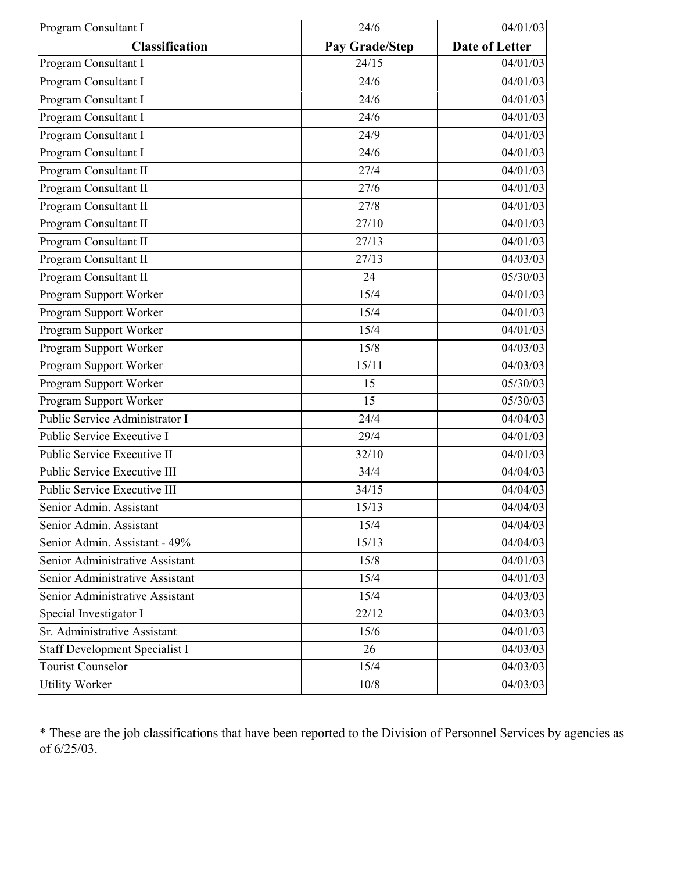| Program Consultant I                  | 24/6           | 04/01/03              |
|---------------------------------------|----------------|-----------------------|
| <b>Classification</b>                 | Pay Grade/Step | <b>Date of Letter</b> |
| Program Consultant I                  | 24/15          | 04/01/03              |
| Program Consultant I                  | 24/6           | 04/01/03              |
| Program Consultant I                  | 24/6           | 04/01/03              |
| Program Consultant I                  | 24/6           | 04/01/03              |
| Program Consultant I                  | 24/9           | 04/01/03              |
| Program Consultant I                  | 24/6           | 04/01/03              |
| Program Consultant II                 | 27/4           | 04/01/03              |
| Program Consultant II                 | 27/6           | 04/01/03              |
| Program Consultant II                 | 27/8           | 04/01/03              |
| Program Consultant II                 | 27/10          | 04/01/03              |
| Program Consultant II                 | 27/13          | 04/01/03              |
| Program Consultant II                 | 27/13          | 04/03/03              |
| Program Consultant II                 | 24             | 05/30/03              |
| Program Support Worker                | 15/4           | 04/01/03              |
| Program Support Worker                | 15/4           | 04/01/03              |
| Program Support Worker                | 15/4           | 04/01/03              |
| Program Support Worker                | 15/8           | 04/03/03              |
| Program Support Worker                | 15/11          | 04/03/03              |
| Program Support Worker                | 15             | 05/30/03              |
| Program Support Worker                | 15             | 05/30/03              |
| Public Service Administrator I        | 24/4           | 04/04/03              |
| Public Service Executive I            | 29/4           | 04/01/03              |
| Public Service Executive II           | 32/10          | 04/01/03              |
| Public Service Executive III          | 34/4           | 04/04/03              |
| Public Service Executive III          | 34/15          | 04/04/03              |
| Senior Admin. Assistant               | 15/13          | 04/04/03              |
| Senior Admin. Assistant               | 15/4           | 04/04/03              |
| Senior Admin. Assistant - 49%         | 15/13          | 04/04/03              |
| Senior Administrative Assistant       | 15/8           | 04/01/03              |
| Senior Administrative Assistant       | 15/4           | 04/01/03              |
| Senior Administrative Assistant       | 15/4           | 04/03/03              |
| Special Investigator I                | 22/12          | 04/03/03              |
| Sr. Administrative Assistant          | 15/6           | 04/01/03              |
| <b>Staff Development Specialist I</b> | 26             | 04/03/03              |
| <b>Tourist Counselor</b>              | 15/4           | 04/03/03              |
| <b>Utility Worker</b>                 | 10/8           | 04/03/03              |

\* These are the job classifications that have been reported to the Division of Personnel Services by agencies as of 6/25/03.